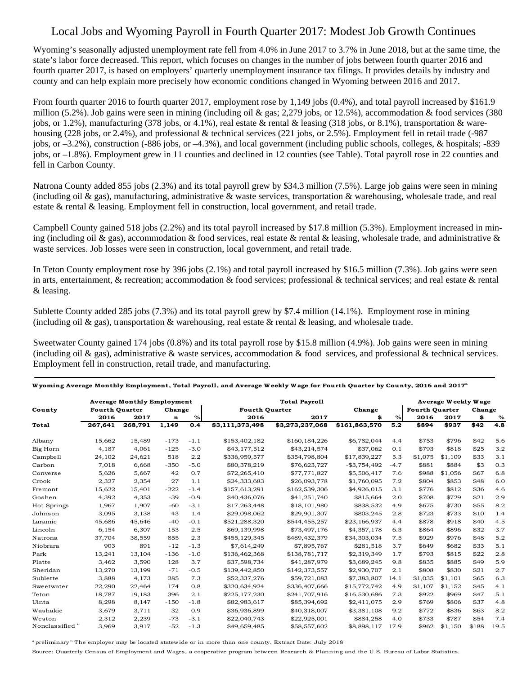## Local Jobs and Wyoming Payroll in Fourth Quarter 2017: Modest Job Growth Continues

Wyoming's seasonally adjusted unemployment rate fell from 4.0% in June 2017 to 3.7% in June 2018, but at the same time, the state's labor force decreased. This report, which focuses on changes in the number of jobs between fourth quarter 2016 and fourth quarter 2017, is based on employers' quarterly unemployment insurance tax filings. It provides details by industry and county and can help explain more precisely how economic conditions changed in Wyoming between 2016 and 2017.

From fourth quarter 2016 to fourth quarter 2017, employment rose by 1,149 jobs (0.4%), and total payroll increased by \$161.9 million (5.2%). Job gains were seen in mining (including oil & gas; 2,279 jobs, or 12.5%), accommodation & food services (380 jobs, or 1.2%), manufacturing (378 jobs, or 4.1%), real estate & rental & leasing (318 jobs, or 8.1%), transportation & warehousing (228 jobs, or 2.4%), and professional & technical services (221 jobs, or 2.5%). Employment fell in retail trade (-987) jobs, or –3.2%), construction (-886 jobs, or –4.3%), and local government (including public schools, colleges, & hospitals; -839 jobs, or –1.8%). Employment grew in 11 counties and declined in 12 counties (see Table). Total payroll rose in 22 counties and fell in Carbon County.

Natrona County added 855 jobs (2.3%) and its total payroll grew by \$34.3 million (7.5%). Large job gains were seen in mining (including oil & gas), manufacturing, administrative & waste services, transportation & warehousing, wholesale trade, and real estate & rental & leasing. Employment fell in construction, local government, and retail trade.

Campbell County gained 518 jobs (2.2%) and its total payroll increased by \$17.8 million (5.3%). Employment increased in mining (including oil & gas), accommodation & food services, real estate & rental & leasing, wholesale trade, and administrative & waste services. Job losses were seen in construction, local government, and retail trade.

In Teton County employment rose by 396 jobs (2.1%) and total payroll increased by \$16.5 million (7.3%). Job gains were seen in arts, entertainment,  $\&$  recreation; accommodation  $\&$  food services; professional  $\&$  technical services; and real estate  $\&$  rental & leasing.

Sublette County added 285 jobs (7.3%) and its total payroll grew by \$7.4 million (14.1%). Employment rose in mining (including oil & gas), transportation & warehousing, real estate & rental & leasing, and wholesale trade.

Sweetwater County gained 174 jobs (0.8%) and its total payroll rose by \$15.8 million (4.9%). Job gains were seen in mining (including oil & gas), administrative & waste services, accommodation & food services, and professional & technical services. Employment fell in construction, retail trade, and manufacturing.

| County                     | <b>Average Monthly Employment</b> |         |        |        | <b>Total Payroll</b>  |                 |                 |        | Average Weekly Wage   |         |        |      |  |
|----------------------------|-----------------------------------|---------|--------|--------|-----------------------|-----------------|-----------------|--------|-----------------------|---------|--------|------|--|
|                            | <b>Fourth Quarter</b>             |         | Change |        | <b>Fourth Quarter</b> |                 | Change          |        | <b>Fourth Quarter</b> |         | Change |      |  |
|                            | 2016                              | 2017    | n      | $\%$   | 2016                  | 2017            | \$              | %      | 2016                  | 2017    | \$     | %    |  |
| Total                      | 267,641                           | 268,791 | 1,149  | 0.4    | \$3,111,373,498       | \$3,273,237,068 | \$161,863,570   | 5.2    | \$894                 | \$937   | \$42   | 4.8  |  |
| Albany                     | 15,662                            | 15,489  | $-173$ | $-1.1$ | \$153,402,182         | \$160,184,226   | \$6,782,044     | 4.4    | \$753                 | \$796   | \$42   | 5.6  |  |
| Big Horn                   | 4,187                             | 4,061   | $-125$ | $-3.0$ | \$43,177,512          | \$43,214,574    | \$37,062        | 0.1    | \$793                 | \$818   | \$25   | 3.2  |  |
| Campbell                   | 24,102                            | 24,621  | 518    | 2.2    | \$336,959,577         | \$354,798,804   | \$17,839,227    | 5.3    | \$1,075               | \$1,109 | \$33   | 3.1  |  |
| Carbon                     | 7,018                             | 6,668   | $-350$ | $-5.0$ | \$80,378,219          | \$76,623,727    | $-$ \$3,754,492 | $-4.7$ | \$881                 | \$884   | \$3    | 0.3  |  |
| Converse                   | 5,626                             | 5,667   | 42     | 0.7    | \$72,265,410          | \$77,771,827    | \$5,506,417     | 7.6    | \$988                 | \$1,056 | \$67   | 6.8  |  |
| Crook                      | 2,327                             | 2,354   | 27     | 1.1    | \$24,333,683          | \$26,093,778    | \$1,760,095     | 7.2    | \$804                 | \$853   | \$48   | 6.0  |  |
| Fremont                    | 15,622                            | 15,401  | $-222$ | $-1.4$ | \$157,613,291         | \$162,539,306   | \$4,926,015     | 3.1    | \$776                 | \$812   | \$36   | 4.6  |  |
| Goshen                     | 4,392                             | 4,353   | $-39$  | $-0.9$ | \$40,436,076          | \$41,251,740    | \$815,664       | 2.0    | \$708                 | \$729   | \$21   | 2.9  |  |
| Hot Springs                | 1,967                             | 1,907   | -60    | $-3.1$ | \$17,263,448          | \$18,101,980    | \$838,532       | 4.9    | \$675                 | \$730   | \$55   | 8.2  |  |
| Johnson                    | 3,095                             | 3,138   | 43     | 1.4    | \$29,098,062          | \$29,901,307    | \$803,245       | 2.8    | \$723                 | \$733   | \$10   | 1.4  |  |
| Laramie                    | 45,686                            | 45,646  | $-40$  | $-0.1$ | \$521,288,320         | \$544,455,257   | \$23,166,937    | 4.4    | \$878                 | \$918   | \$40   | 4.5  |  |
| Lincoln                    | 6,154                             | 6,307   | 153    | 2.5    | \$69,139,998          | \$73,497,176    | \$4,357,178     | 6.3    | \$864                 | \$896   | \$32   | 3.7  |  |
| Natrona                    | 37,704                            | 38,559  | 855    | 2.3    | \$455,129,345         | \$489,432,379   | \$34,303,034    | 7.5    | \$929                 | \$976   | \$48   | 5.2  |  |
| Niobrara                   | 903                               | 891     | $-12$  | $-1.3$ | \$7,614,249           | \$7,895,767     | \$281,518       | 3.7    | \$649                 | \$682   | \$33   | 5.1  |  |
| Park                       | 13,241                            | 13,104  | $-136$ | $-1.0$ | \$136,462,368         | \$138,781,717   | \$2,319,349     | 1.7    | \$793                 | \$815   | \$22   | 2.8  |  |
| Platte                     | 3,462                             | 3,590   | 128    | 3.7    | \$37,598,734          | \$41,287,979    | \$3,689,245     | 9.8    | \$835                 | \$885   | \$49   | 5.9  |  |
| Sheridan                   | 13,270                            | 13,199  | $-71$  | $-0.5$ | \$139,442,850         | \$142,373,557   | \$2,930,707     | 2.1    | \$808                 | \$830   | \$21   | 2.7  |  |
| Sublette                   | 3,888                             | 4,173   | 285    | 7.3    | \$52,337,276          | \$59,721,083    | \$7,383,807     | 14.1   | \$1,035               | \$1,101 | \$65   | 6.3  |  |
| Sweetwater                 | 22,290                            | 22,464  | 174    | 0.8    | \$320,634,924         | \$336,407,666   | \$15,772,742    | 4.9    | \$1,107               | \$1,152 | \$45   | 4.1  |  |
| Teton                      | 18,787                            | 19,183  | 396    | 2.1    | \$225,177,230         | \$241,707,916   | \$16,530,686    | 7.3    | \$922                 | \$969   | \$47   | 5.1  |  |
| Uinta                      | 8,298                             | 8,147   | $-150$ | $-1.8$ | \$82,983,617          | \$85,394,692    | \$2,411,075     | 2.9    | \$769                 | \$806   | \$37   | 4.8  |  |
| Washakie                   | 3,679                             | 3,711   | 32     | 0.9    | \$36,936,899          | \$40,318,007    | \$3,381,108     | 9.2    | \$772                 | \$836   | \$63   | 8.2  |  |
| Weston                     | 2,312                             | 2,239   | $-73$  | $-3.1$ | \$22,040,743          | \$22,925,001    | \$884,258       | 4.0    | \$733                 | \$787   | \$54   | 7.4  |  |
| Nonclassified <sup>o</sup> | 3,969                             | 3,917   | $-52$  | $-1.3$ | \$49,659,485          | \$58,557,602    | \$8,898,117     | 17.9   | \$962                 | \$1,150 | \$188  | 19.5 |  |

**W yoming Average Monthly Employment, Total Payroll, and Average W eekly W age for Fourth Quarter by County, 2016 and 2017<sup>a</sup>**

 $a$  preliminary<sup>b</sup> The employer may be located statewide or in more than one county. Extract Date: July 2018

Source: Quarterly Census of Employment and Wages, a cooperative program between Research & Planning and the U.S. Bureau of Labor Statistics.